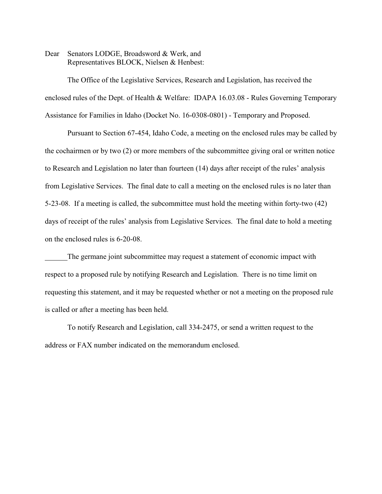Dear Senators LODGE, Broadsword & Werk, and Representatives BLOCK, Nielsen & Henbest:

The Office of the Legislative Services, Research and Legislation, has received the enclosed rules of the Dept. of Health & Welfare: IDAPA 16.03.08 - Rules Governing Temporary Assistance for Families in Idaho (Docket No. 16-0308-0801) - Temporary and Proposed.

Pursuant to Section 67-454, Idaho Code, a meeting on the enclosed rules may be called by the cochairmen or by two (2) or more members of the subcommittee giving oral or written notice to Research and Legislation no later than fourteen (14) days after receipt of the rules' analysis from Legislative Services. The final date to call a meeting on the enclosed rules is no later than 5-23-08. If a meeting is called, the subcommittee must hold the meeting within forty-two (42) days of receipt of the rules' analysis from Legislative Services. The final date to hold a meeting on the enclosed rules is 6-20-08.

The germane joint subcommittee may request a statement of economic impact with respect to a proposed rule by notifying Research and Legislation. There is no time limit on requesting this statement, and it may be requested whether or not a meeting on the proposed rule is called or after a meeting has been held.

To notify Research and Legislation, call 334-2475, or send a written request to the address or FAX number indicated on the memorandum enclosed.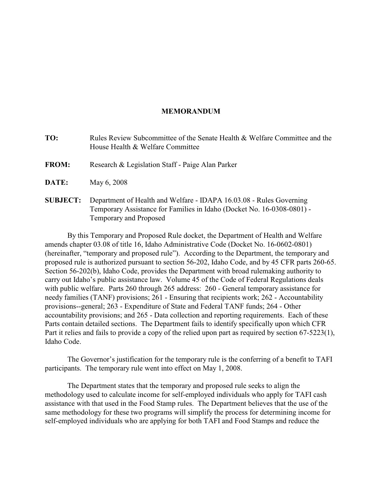### **MEMORANDUM**

**TO:** Rules Review Subcommittee of the Senate Health & Welfare Committee and the House Health & Welfare Committee

**FROM:** Research & Legislation Staff - Paige Alan Parker

**DATE:** May 6, 2008

**SUBJECT:** Department of Health and Welfare - IDAPA 16.03.08 - Rules Governing Temporary Assistance for Families in Idaho (Docket No. 16-0308-0801) - Temporary and Proposed

By this Temporary and Proposed Rule docket, the Department of Health and Welfare amends chapter 03.08 of title 16, Idaho Administrative Code (Docket No. 16-0602-0801) (hereinafter, "temporary and proposed rule"). According to the Department, the temporary and proposed rule is authorized pursuant to section 56-202, Idaho Code, and by 45 CFR parts 260-65. Section 56-202(b), Idaho Code, provides the Department with broad rulemaking authority to carry out Idaho's public assistance law. Volume 45 of the Code of Federal Regulations deals with public welfare. Parts 260 through 265 address: 260 - General temporary assistance for needy families (TANF) provisions; 261 - Ensuring that recipients work; 262 - Accountability provisions--general; 263 - Expenditure of State and Federal TANF funds; 264 - Other accountability provisions; and 265 - Data collection and reporting requirements. Each of these Parts contain detailed sections. The Department fails to identify specifically upon which CFR Part it relies and fails to provide a copy of the relied upon part as required by section 67-5223(1), Idaho Code.

The Governor's justification for the temporary rule is the conferring of a benefit to TAFI participants. The temporary rule went into effect on May 1, 2008.

The Department states that the temporary and proposed rule seeks to align the methodology used to calculate income for self-employed individuals who apply for TAFI cash assistance with that used in the Food Stamp rules. The Department believes that the use of the same methodology for these two programs will simplify the process for determining income for self-employed individuals who are applying for both TAFI and Food Stamps and reduce the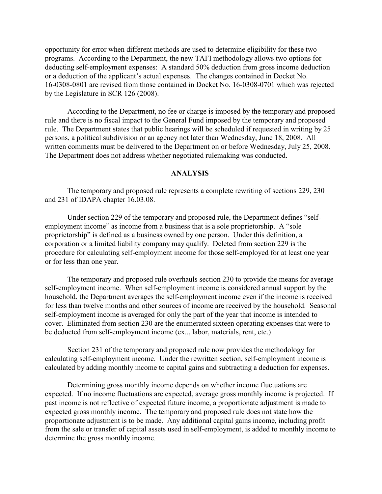opportunity for error when different methods are used to determine eligibility for these two programs. According to the Department, the new TAFI methodology allows two options for deducting self-employment expenses: A standard 50% deduction from gross income deduction or a deduction of the applicant's actual expenses. The changes contained in Docket No. 16-0308-0801 are revised from those contained in Docket No. 16-0308-0701 which was rejected by the Legislature in SCR 126 (2008).

According to the Department, no fee or charge is imposed by the temporary and proposed rule and there is no fiscal impact to the General Fund imposed by the temporary and proposed rule. The Department states that public hearings will be scheduled if requested in writing by 25 persons, a political subdivision or an agency not later than Wednesday, June 18, 2008. All written comments must be delivered to the Department on or before Wednesday, July 25, 2008. The Department does not address whether negotiated rulemaking was conducted.

### **ANALYSIS**

The temporary and proposed rule represents a complete rewriting of sections 229, 230 and 231 of IDAPA chapter 16.03.08.

Under section 229 of the temporary and proposed rule, the Department defines "selfemployment income" as income from a business that is a sole proprietorship. A "sole proprietorship" is defined as a business owned by one person. Under this definition, a corporation or a limited liability company may qualify. Deleted from section 229 is the procedure for calculating self-employment income for those self-employed for at least one year or for less than one year.

The temporary and proposed rule overhauls section 230 to provide the means for average self-employment income. When self-employment income is considered annual support by the household, the Department averages the self-employment income even if the income is received for less than twelve months and other sources of income are received by the household. Seasonal self-employment income is averaged for only the part of the year that income is intended to cover. Eliminated from section 230 are the enumerated sixteen operating expenses that were to be deducted from self-employment income (ex.., labor, materials, rent, etc.)

Section 231 of the temporary and proposed rule now provides the methodology for calculating self-employment income. Under the rewritten section, self-employment income is calculated by adding monthly income to capital gains and subtracting a deduction for expenses.

Determining gross monthly income depends on whether income fluctuations are expected. If no income fluctuations are expected, average gross monthly income is projected. If past income is not reflective of expected future income, a proportionate adjustment is made to expected gross monthly income. The temporary and proposed rule does not state how the proportionate adjustment is to be made. Any additional capital gains income, including profit from the sale or transfer of capital assets used in self-employment, is added to monthly income to determine the gross monthly income.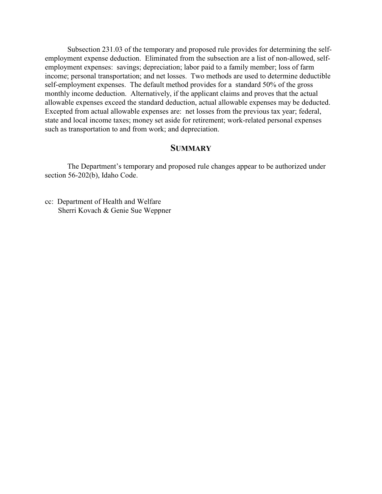Subsection 231.03 of the temporary and proposed rule provides for determining the selfemployment expense deduction. Eliminated from the subsection are a list of non-allowed, selfemployment expenses: savings; depreciation; labor paid to a family member; loss of farm income; personal transportation; and net losses. Two methods are used to determine deductible self-employment expenses. The default method provides for a standard 50% of the gross monthly income deduction. Alternatively, if the applicant claims and proves that the actual allowable expenses exceed the standard deduction, actual allowable expenses may be deducted. Excepted from actual allowable expenses are: net losses from the previous tax year; federal, state and local income taxes; money set aside for retirement; work-related personal expenses such as transportation to and from work; and depreciation.

## **SUMMARY**

The Department's temporary and proposed rule changes appear to be authorized under section 56-202(b), Idaho Code.

cc: Department of Health and Welfare Sherri Kovach & Genie Sue Weppner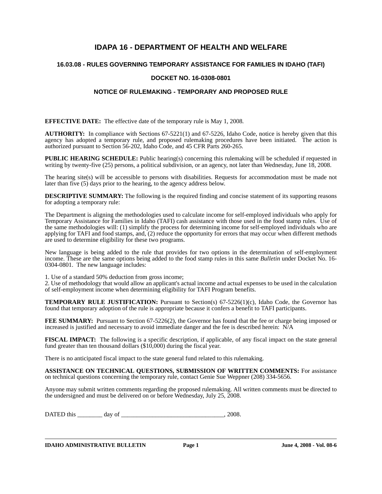# **IDAPA 16 - DEPARTMENT OF HEALTH AND WELFARE**

#### **16.03.08 - RULES GOVERNING TEMPORARY ASSISTANCE FOR FAMILIES IN IDAHO (TAFI)**

#### **DOCKET NO. 16-0308-0801**

#### **NOTICE OF RULEMAKING - TEMPORARY AND PROPOSED RULE**

**EFFECTIVE DATE:** The effective date of the temporary rule is May 1, 2008*.*

**AUTHORITY:** In compliance with Sections 67-5221(1) and 67-5226, Idaho Code, notice is hereby given that this agency has adopted a temporary rule, and proposed rulemaking procedures have been initiated. The action is authorized pursuant to Section 56-202, Idaho Code, and 45 CFR Parts 260-265.

**PUBLIC HEARING SCHEDULE:** Public hearing(s) concerning this rulemaking will be scheduled if requested in writing by twenty-five (25) persons, a political subdivision, or an agency, not later than Wednesday, June 18, 2008.

The hearing site(s) will be accessible to persons with disabilities. Requests for accommodation must be made not later than five (5) days prior to the hearing, to the agency address below.

**DESCRIPTIVE SUMMARY:** The following is the required finding and concise statement of its supporting reasons for adopting a temporary rule:

The Department is aligning the methodologies used to calculate income for self-employed individuals who apply for Temporary Assistance for Families in Idaho (TAFI) cash assistance with those used in the food stamp rules. Use of the same methodologies will: (1) simplify the process for determining income for self-employed individuals who are applying for TAFI and food stamps, and, (2) reduce the opportunity for errors that may occur when different methods are used to determine eligibility for these two programs.

New language is being added to the rule that provides for two options in the determination of self-employment income. These are the same options being added to the food stamp rules in this same *Bulletin* under Docket No. 16- 0304-0801. The new language includes:

1. Use of a standard 50% deduction from gross income;

2. Use of methodology that would allow an applicant's actual income and actual expenses to be used in the calculation of self-employment income when determining eligibility for TAFI Program benefits.

**TEMPORARY RULE JUSTIFICATION:** Pursuant to Section(s) 67-5226(1)(c), Idaho Code, the Governor has found that temporary adoption of the rule is appropriate because it confers a benefit to TAFI participants.

**FEE SUMMARY:** Pursuant to Section 67-5226(2), the Governor has found that the fee or charge being imposed or increased is justified and necessary to avoid immediate danger and the fee is described herein: N/A

**FISCAL IMPACT:** The following is a specific description, if applicable, of any fiscal impact on the state general fund greater than ten thousand dollars (\$10,000) during the fiscal year.

There is no anticipated fiscal impact to the state general fund related to this rulemaking.

**ASSISTANCE ON TECHNICAL QUESTIONS, SUBMISSION OF WRITTEN COMMENTS:** For assistance on technical questions concerning the temporary rule, contact Genie Sue Weppner (208) 334-5656.

Anyone may submit written comments regarding the proposed rulemaking. All written comments must be directed to the undersigned and must be delivered on or before Wednesday, July 25, 2008.

DATED this \_\_\_\_\_\_\_\_ day of \_\_\_\_\_\_\_\_\_\_\_\_\_\_\_\_\_\_\_\_\_\_\_\_\_\_\_\_\_\_\_\_\_, 2008.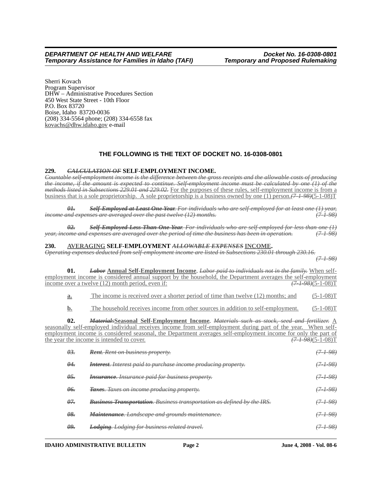Sherri Kovach Program Supervisor DHW – Administrative Procedures Section 450 West State Street - 10th Floor P.O. Box 83720 Boise, Idaho 83720-0036 (208) 334-5564 phone; (208) 334-6558 fax kovachs@dhw.idaho.gov e-mail

## **THE FOLLOWING IS THE TEXT OF DOCKET NO. 16-0308-0801**

#### **229.** *CALCULATION OF* **SELF-EMPLOYMENT INCOME.**

*Countable self-employment income is the difference between the gross receipts and the allowable costs of producing the income, if the amount is expected to continue. Self-employment income must be calculated by one (1) of the methods listed in Subsections 229.01 and 229.02.* For the purposes of these rules, self-employment income is from a business that is a sole proprietorship. A sole proprietorship is a business owned by one (1) person.*(7-1-98)*(5-1-08)T

*01. Self-Employed at Least One Year. For individuals who are self-employed for at least one (1) year, income and expenses are averaged over the past twelve (12) months. (7-1-98)*

*02. Self-Employed Less Than One Year. For individuals who are self-employed for less than one (1) year, income and expenses are averaged over the period of time the business has been in operation. (7-1-98)*

#### **230. AVERAGING SELF-EMPLOYMENT** *ALLOWABLE EXPENSES* **INCOME.**

*Operating expenses deducted from self-employment income are listed in Subsections 230.01 through 230.16.*

*(7-1-98)*

| 01.                                   | <b>Labor Annual Self-Employment Income</b> . Labor paid to individuals not in the family. When self-<br>employment income is considered annual support by the household, the Department averages the self-employment<br>income over a twelve (12) month period, even if:                                                                                                       | $\frac{(7 + 98)}{(5 - 1 - 08)}$ T |
|---------------------------------------|--------------------------------------------------------------------------------------------------------------------------------------------------------------------------------------------------------------------------------------------------------------------------------------------------------------------------------------------------------------------------------|-----------------------------------|
| a.                                    | The income is received over a shorter period of time than twelve (12) months; and                                                                                                                                                                                                                                                                                              | $(5-1-08)T$                       |
| $\mathbf{b}$ .                        | The household receives income from other sources in addition to self-employment.                                                                                                                                                                                                                                                                                               | $(5-1-08)T$                       |
| 02.                                   | <b>MaterialsSeasonal Self-Employment Income.</b> Materials such as stock, seed and fertilizer. A<br>seasonally self-employed individual receives income from self-employment during part of the year. When self-<br>employment income is considered seasonal, the Department averages self-employment income for only the part of<br>the year the income is intended to cover. | $(7 + 98)(5 - 1 - 08)T$           |
| $\theta$ <sup>3</sup> .               | <b>Rent.</b> Rent on business property.                                                                                                                                                                                                                                                                                                                                        | $(7 - 1 - 98)$                    |
| $\theta$ <sup><math>\div</math></sup> | <b>Interest.</b> Interest paid to purchase income producing property.                                                                                                                                                                                                                                                                                                          | <del>(7-1-98)</del>               |
| $\theta$ 5.                           | <b>Insurance.</b> Insurance paid for business property.                                                                                                                                                                                                                                                                                                                        | (7198)                            |
| θ <del>6.</del>                       | Taxes. Taxes on income producing property.                                                                                                                                                                                                                                                                                                                                     | $(7 - 1 - 98)$                    |
| $\theta$ 7.                           | <b>Business Transportation.</b> Business transportation as defined by the IRS.                                                                                                                                                                                                                                                                                                 | <del>(7-1-98)</del>               |
| $\theta$ .                            | Maintenance. Landscape and grounds maintenance.                                                                                                                                                                                                                                                                                                                                | (7198)                            |
| <u>ρg.</u>                            | <b>Lodging.</b> Lodging for business related travel.                                                                                                                                                                                                                                                                                                                           | <del>(7-1-98)</del>               |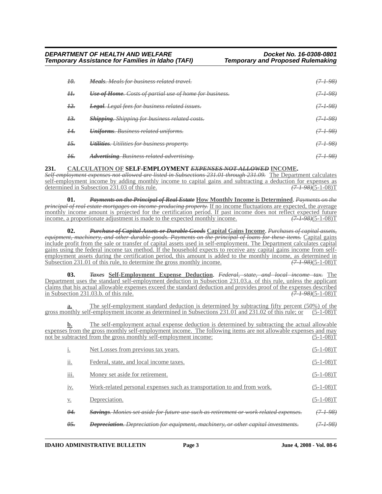| H.              | <b>Meals.</b> Meals for business related travel.               | $(7 + 98)$          |
|-----------------|----------------------------------------------------------------|---------------------|
| Н.              | <b>Use of Home.</b> Costs of partial use of home for business. | $(7 - 1 - 98)$      |
| $\frac{12}{5}$  | <b>Legal.</b> Legal fees for business related issues.          | $(7 - 1 - 98)$      |
| 13.             | <b>Shipping.</b> Shipping for business related costs.          | (7198)              |
| $\overline{14}$ | <b>Uniforms.</b> Business related uniforms.                    | $(7 - 1 - 98)$      |
| $+5.$           | Utilities. Utilities for business property.                    | <del>(7-1-98)</del> |
| <del>16.</del>  | <b>Advertising.</b> Business related advertising.              |                     |

#### **231. CALCULATION OF SELF-EMPLOYMENT** *EXPENSES NOT ALLOWED* **INCOME.**

*Self-employment expenses not allowed are listed in Subsections 231.01 through 231.09.* The Department calculates self-employment income by adding monthly income to capital gains and subtracting a deduction for expenses as determined in Subsection 231.03 of this rule. *(7-1-98)*(5-1-08)T

**01.** *Payments on the Principal of Real Estate* **How Monthly Income is Determined**. *Payments on the principal of real estate mortgages on income-producing property.* If no income fluctuations are expected, the average monthly income amount is projected for the certification period. If past income does not reflect expected future income, a proportionate adjustment is made to the expected monthly income. *(7-1-98)*(5-1-08)T

**02.** *Purchase of Capital Assets or Durable Goods* **Capital Gains Income**. *Purchases of capital assets, equipment, machinery, and other durable goods. Payments on the principal of loans for these items.* Capital gains include profit from the sale or transfer of capital assets used in self-employment. The Department calculates capital gains using the federal income tax method. If the household expects to receive any capital gains income from selfemployment assets during the certification period, this amount is added to the monthly income, as determined in Subsection 231.01 of this rule, to determine the gross monthly income.  $(7-1-98)(5-1-08)T$ Subsection 231.01 of this rule, to determine the gross monthly income.

**03.** *Taxes* **Self-Employment Expense Deduction**. *Federal, state, and local income tax.* The Department uses the standard self-employment deduction in Subsection 231.03.a. of this rule, unless the applicant claims that his actual allowable expenses exceed the standard deduction and provides proof of the expenses described<br>in Subsection 231.03.b. of this rule.<br> $\sqrt{7+98+(5-1-08)T}$ in Subsection 231.03.b. of this rule.

**a.** The self-employment standard deduction is determined by subtracting fifty percent (50%) of the gross monthly self-employment income as determined in Subsections 231.01 and 231.02 of this rule; or (5-1-08)T

**b.** The self-employment actual expense deduction is determined by subtracting the actual allowable expenses from the gross monthly self-employment income. The following items are not allowable expenses and may not be subtracted from the gross monthly self-employment income: (5-1-08)T

| 1.                     | Net Losses from previous tax years.                                                              | (5-1-08)]           |
|------------------------|--------------------------------------------------------------------------------------------------|---------------------|
| 11.                    | Federal, state, and local income taxes.                                                          | $(5-1-08)$ T        |
| $\cdots$<br>111.       | Money set aside for retirement.                                                                  | $(5-1-08)$ T        |
| 1V <sub>1</sub>        | Work-related personal expenses such as transportation to and from work.                          | $(5-1-08)$ T        |
| V.                     | Depreciation.                                                                                    | $(5-1-08)$ T        |
| $\theta$ <sup>4.</sup> | <del>Savings. Monies set aside for future use such as retirement or work related expenses.</del> | <del>(7-1-98)</del> |
| θ <del>5.</del>        | <b>Depreciation</b> . Depreciation for equipment, machinery, or other capital investments.       |                     |